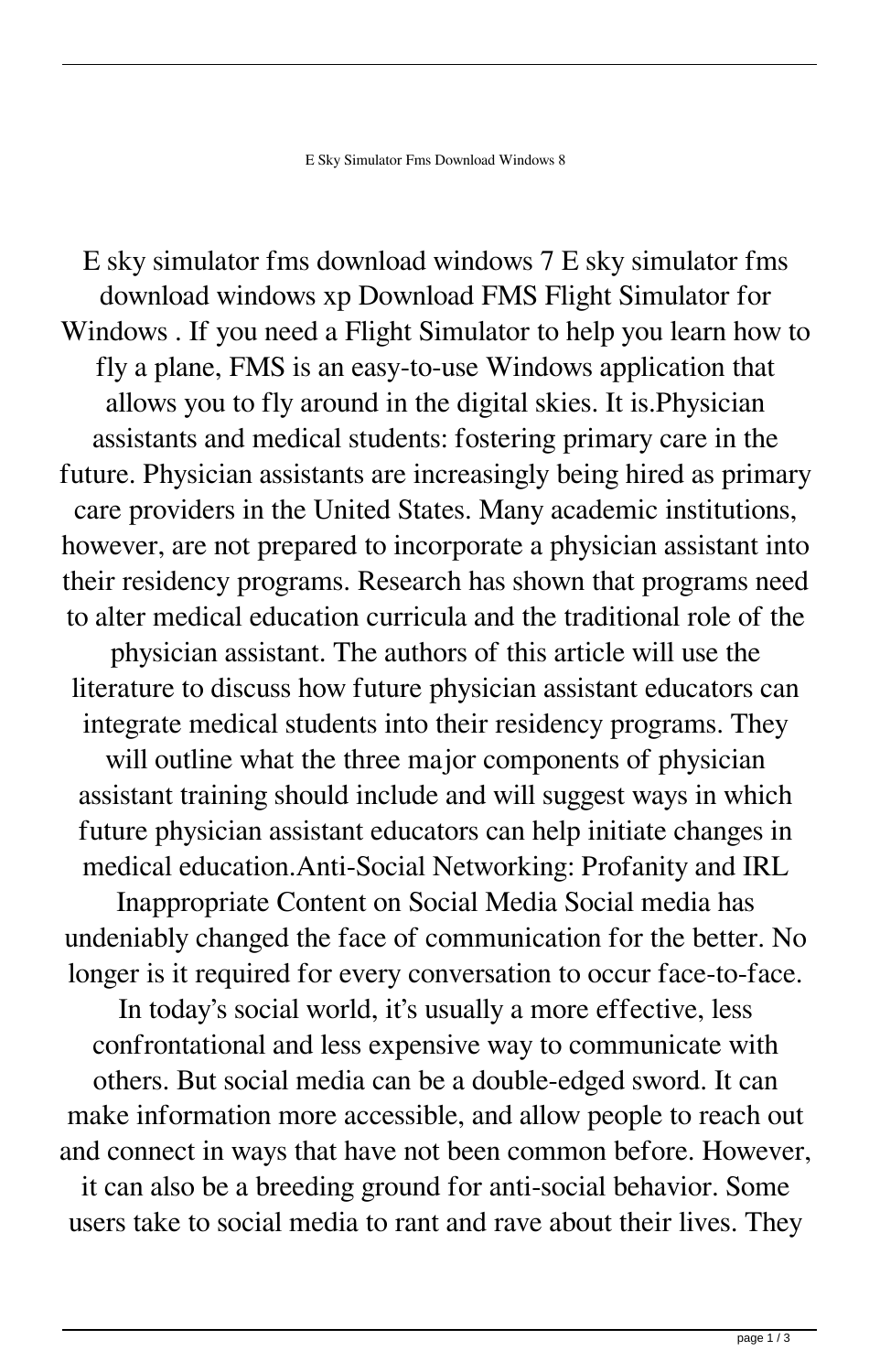E sky simulator fms download windows 7 E sky simulator fms download windows xp Download FMS Flight Simulator for Windows . If you need a Flight Simulator to help you learn how to fly a plane, FMS is an easy-to-use Windows application that allows you to fly around in the digital skies. It is.Physician assistants and medical students: fostering primary care in the future. Physician assistants are increasingly being hired as primary care providers in the United States. Many academic institutions, however, are not prepared to incorporate a physician assistant into their residency programs. Research has shown that programs need to alter medical education curricula and the traditional role of the physician assistant. The authors of this article will use the literature to discuss how future physician assistant educators can integrate medical students into their residency programs. They will outline what the three major components of physician assistant training should include and will suggest ways in which future physician assistant educators can help initiate changes in medical education.Anti-Social Networking: Profanity and IRL Inappropriate Content on Social Media Social media has undeniably changed the face of communication for the better. No longer is it required for every conversation to occur face-to-face. In today's social world, it's usually a more effective, less confrontational and less expensive way to communicate with others. But social media can be a double-edged sword. It can make information more accessible, and allow people to reach out and connect in ways that have not been common before. However, it can also be a breeding ground for anti-social behavior. Some users take to social media to rant and rave about their lives. They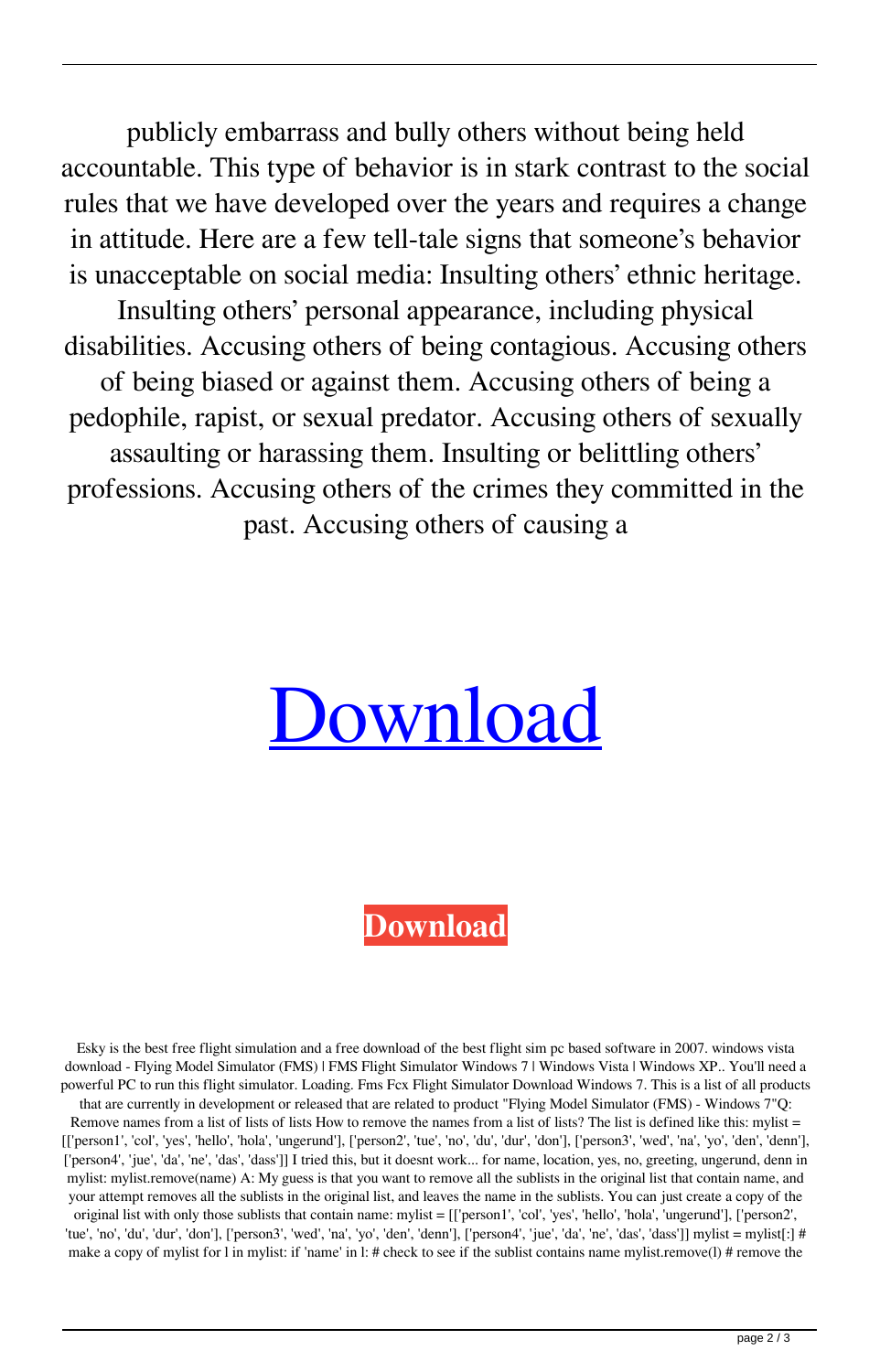publicly embarrass and bully others without being held accountable. This type of behavior is in stark contrast to the social rules that we have developed over the years and requires a change in attitude. Here are a few tell-tale signs that someone's behavior is unacceptable on social media: Insulting others' ethnic heritage. Insulting others' personal appearance, including physical disabilities. Accusing others of being contagious. Accusing others of being biased or against them. Accusing others of being a pedophile, rapist, or sexual predator. Accusing others of sexually assaulting or harassing them. Insulting or belittling others' professions. Accusing others of the crimes they committed in the past. Accusing others of causing a

## [Download](http://evacdir.com/cancer/cheeses/RSBza3kgc2ltdWxhdG9yIGZtcyBkb3dubG9hZCB3aW5kb3dzIDgRSB/innability.comice.containers&reachers=ZG93bmxvYWR8TWk3TVRGak9IeDhNVFkxTWpjME1EZzJObng4TWpVM05IeDhLRTBwSUhKbFlXUXRZbXh2WnlCYlJtRnpkQ0JIUlU1ZA)

## **[Download](http://evacdir.com/cancer/cheeses/RSBza3kgc2ltdWxhdG9yIGZtcyBkb3dubG9hZCB3aW5kb3dzIDgRSB/innability.comice.containers&reachers=ZG93bmxvYWR8TWk3TVRGak9IeDhNVFkxTWpjME1EZzJObng4TWpVM05IeDhLRTBwSUhKbFlXUXRZbXh2WnlCYlJtRnpkQ0JIUlU1ZA)**

Esky is the best free flight simulation and a free download of the best flight sim pc based software in 2007. windows vista download - Flying Model Simulator (FMS) | FMS Flight Simulator Windows 7 | Windows Vista | Windows XP.. You'll need a powerful PC to run this flight simulator. Loading. Fms Fcx Flight Simulator Download Windows 7. This is a list of all products that are currently in development or released that are related to product "Flying Model Simulator (FMS) - Windows 7"Q:

Remove names from a list of lists of lists How to remove the names from a list of lists? The list is defined like this: mylist = [['person1', 'col', 'yes', 'hello', 'hola', 'ungerund'], ['person2', 'tue', 'no', 'du', 'dur', 'don'], ['person3', 'wed', 'na', 'yo', 'den', 'denn'], ['person4', 'jue', 'da', 'ne', 'das', 'dass']] I tried this, but it doesnt work... for name, location, yes, no, greeting, ungerund, denn in mylist: mylist.remove(name) A: My guess is that you want to remove all the sublists in the original list that contain name, and your attempt removes all the sublists in the original list, and leaves the name in the sublists. You can just create a copy of the

original list with only those sublists that contain name: mylist = [['person1', 'col', 'yes', 'hello', 'hola', 'ungerund'], ['person2', 'tue', 'no', 'du', 'dur', 'don'], ['person3', 'wed', 'na', 'yo', 'den', 'denn'], ['person4', 'jue', 'da', 'ne', 'das', 'dass']] mylist = mylist[:] # make a copy of mylist for l in mylist: if 'name' in l: # check to see if the sublist contains name mylist.remove(1) # remove the